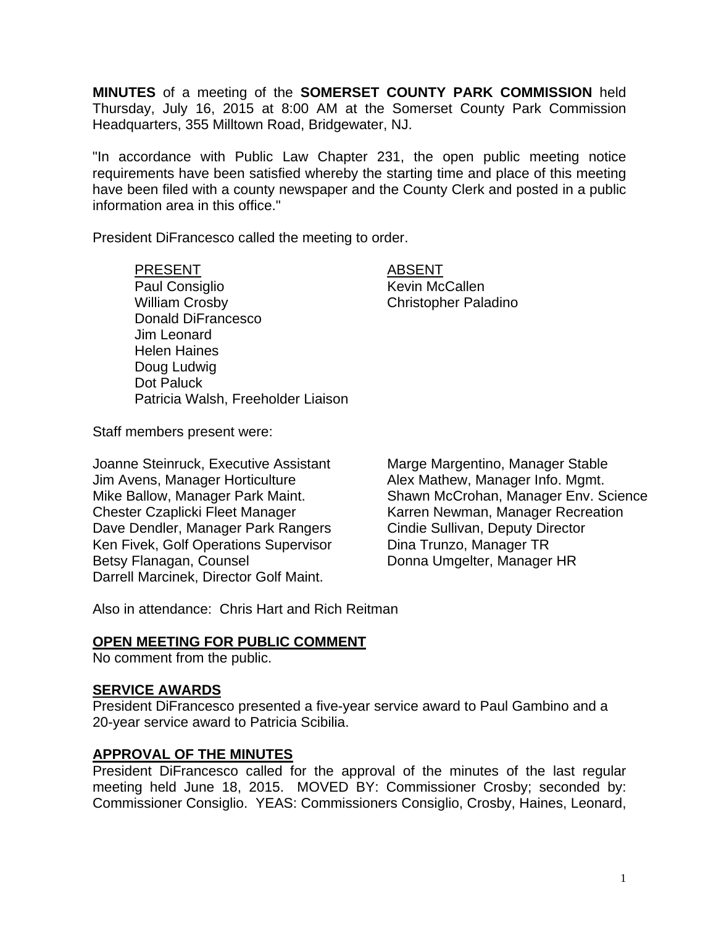**MINUTES** of a meeting of the **SOMERSET COUNTY PARK COMMISSION** held Thursday, July 16, 2015 at 8:00 AM at the Somerset County Park Commission Headquarters, 355 Milltown Road, Bridgewater, NJ.

"In accordance with Public Law Chapter 231, the open public meeting notice requirements have been satisfied whereby the starting time and place of this meeting have been filed with a county newspaper and the County Clerk and posted in a public information area in this office."

President DiFrancesco called the meeting to order.

PRESENT ABSENT Paul Consiglio **Kevin McCallen** William Crosby **Christopher Paladino** Donald DiFrancesco Jim Leonard Helen Haines Doug Ludwig Dot Paluck Patricia Walsh, Freeholder Liaison

Staff members present were:

Joanne Steinruck, Executive Assistant Marge Margentino, Manager Stable Jim Avens, Manager Horticulture **Alex Mathew, Manager Info. Mgmt.** Dave Dendler, Manager Park Rangers Ken Fivek, Golf Operations Supervisor Dina Trunzo, Manager TR Betsy Flanagan, Counsel **Donna Umgelter, Manager HR** Darrell Marcinek, Director Golf Maint.

Mike Ballow, Manager Park Maint. Shawn McCrohan, Manager Env. Science<br>Chester Czaplicki Fleet Manager Karren Newman, Manager Recreation Karren Newman, Manager Recreation<br>Cindie Sullivan, Deputy Director

Also in attendance: Chris Hart and Rich Reitman

### **OPEN MEETING FOR PUBLIC COMMENT**

No comment from the public.

#### **SERVICE AWARDS**

President DiFrancesco presented a five-year service award to Paul Gambino and a 20-year service award to Patricia Scibilia.

#### **APPROVAL OF THE MINUTES**

President DiFrancesco called for the approval of the minutes of the last regular meeting held June 18, 2015. MOVED BY: Commissioner Crosby; seconded by: Commissioner Consiglio. YEAS: Commissioners Consiglio, Crosby, Haines, Leonard,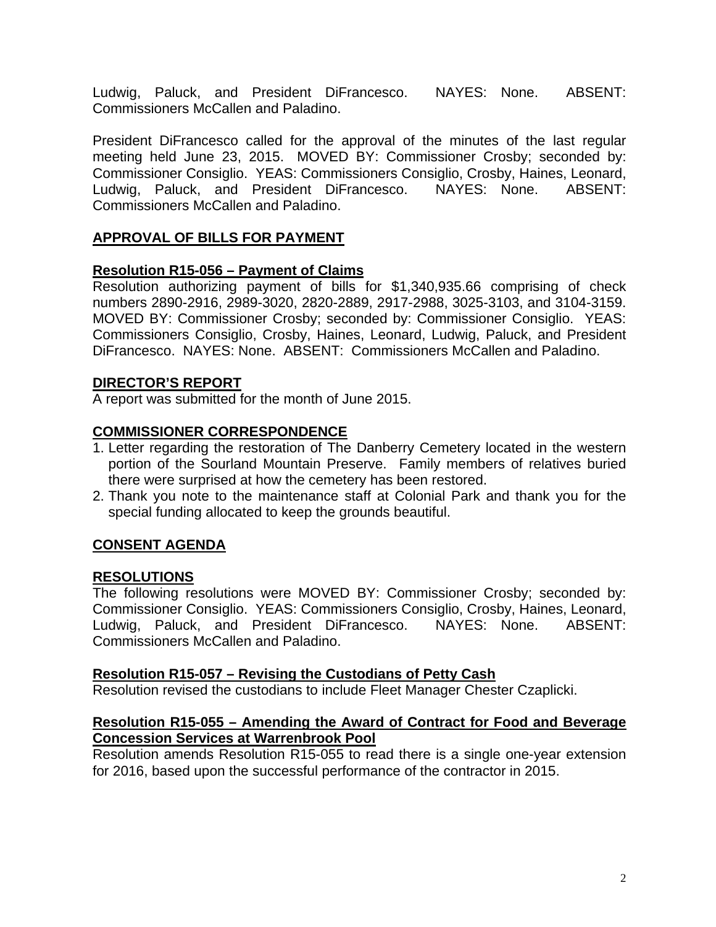Ludwig, Paluck, and President DiFrancesco. NAYES: None. ABSENT: Commissioners McCallen and Paladino.

President DiFrancesco called for the approval of the minutes of the last regular meeting held June 23, 2015. MOVED BY: Commissioner Crosby; seconded by: Commissioner Consiglio. YEAS: Commissioners Consiglio, Crosby, Haines, Leonard, Ludwig, Paluck, and President DiFrancesco. NAYES: None. ABSENT: Commissioners McCallen and Paladino.

# **APPROVAL OF BILLS FOR PAYMENT**

# **Resolution R15-056 – Payment of Claims**

Resolution authorizing payment of bills for \$1,340,935.66 comprising of check numbers 2890-2916, 2989-3020, 2820-2889, 2917-2988, 3025-3103, and 3104-3159. MOVED BY: Commissioner Crosby; seconded by: Commissioner Consiglio. YEAS: Commissioners Consiglio, Crosby, Haines, Leonard, Ludwig, Paluck, and President DiFrancesco. NAYES: None. ABSENT: Commissioners McCallen and Paladino.

## **DIRECTOR'S REPORT**

A report was submitted for the month of June 2015.

# **COMMISSIONER CORRESPONDENCE**

- 1. Letter regarding the restoration of The Danberry Cemetery located in the western portion of the Sourland Mountain Preserve. Family members of relatives buried there were surprised at how the cemetery has been restored.
- 2. Thank you note to the maintenance staff at Colonial Park and thank you for the special funding allocated to keep the grounds beautiful.

# **CONSENT AGENDA**

## **RESOLUTIONS**

The following resolutions were MOVED BY: Commissioner Crosby; seconded by: Commissioner Consiglio. YEAS: Commissioners Consiglio, Crosby, Haines, Leonard, Ludwig, Paluck, and President DiFrancesco. NAYES: None. ABSENT: Commissioners McCallen and Paladino.

## **Resolution R15-057 – Revising the Custodians of Petty Cash**

Resolution revised the custodians to include Fleet Manager Chester Czaplicki.

## **Resolution R15-055 – Amending the Award of Contract for Food and Beverage Concession Services at Warrenbrook Pool**

Resolution amends Resolution R15-055 to read there is a single one-year extension for 2016, based upon the successful performance of the contractor in 2015.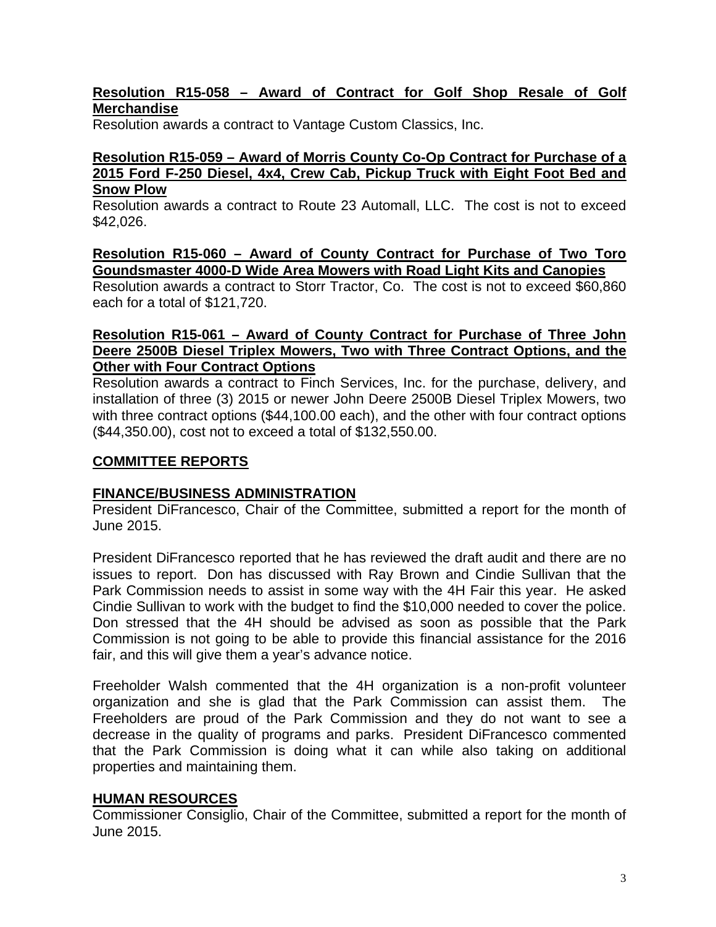## **Resolution R15-058 – Award of Contract for Golf Shop Resale of Golf Merchandise**

Resolution awards a contract to Vantage Custom Classics, Inc.

## **Resolution R15-059 – Award of Morris County Co-Op Contract for Purchase of a 2015 Ford F-250 Diesel, 4x4, Crew Cab, Pickup Truck with Eight Foot Bed and Snow Plow**

Resolution awards a contract to Route 23 Automall, LLC. The cost is not to exceed \$42,026.

### **Resolution R15-060 – Award of County Contract for Purchase of Two Toro Goundsmaster 4000-D Wide Area Mowers with Road Light Kits and Canopies**

Resolution awards a contract to Storr Tractor, Co. The cost is not to exceed \$60,860 each for a total of \$121,720.

## **Resolution R15-061 – Award of County Contract for Purchase of Three John Deere 2500B Diesel Triplex Mowers, Two with Three Contract Options, and the Other with Four Contract Options**

Resolution awards a contract to Finch Services, Inc. for the purchase, delivery, and installation of three (3) 2015 or newer John Deere 2500B Diesel Triplex Mowers, two with three contract options (\$44,100.00 each), and the other with four contract options (\$44,350.00), cost not to exceed a total of \$132,550.00.

## **COMMITTEE REPORTS**

#### **FINANCE/BUSINESS ADMINISTRATION**

President DiFrancesco, Chair of the Committee, submitted a report for the month of June 2015.

President DiFrancesco reported that he has reviewed the draft audit and there are no issues to report. Don has discussed with Ray Brown and Cindie Sullivan that the Park Commission needs to assist in some way with the 4H Fair this year. He asked Cindie Sullivan to work with the budget to find the \$10,000 needed to cover the police. Don stressed that the 4H should be advised as soon as possible that the Park Commission is not going to be able to provide this financial assistance for the 2016 fair, and this will give them a year's advance notice.

Freeholder Walsh commented that the 4H organization is a non-profit volunteer organization and she is glad that the Park Commission can assist them. The Freeholders are proud of the Park Commission and they do not want to see a decrease in the quality of programs and parks. President DiFrancesco commented that the Park Commission is doing what it can while also taking on additional properties and maintaining them.

#### **HUMAN RESOURCES**

Commissioner Consiglio, Chair of the Committee, submitted a report for the month of June 2015.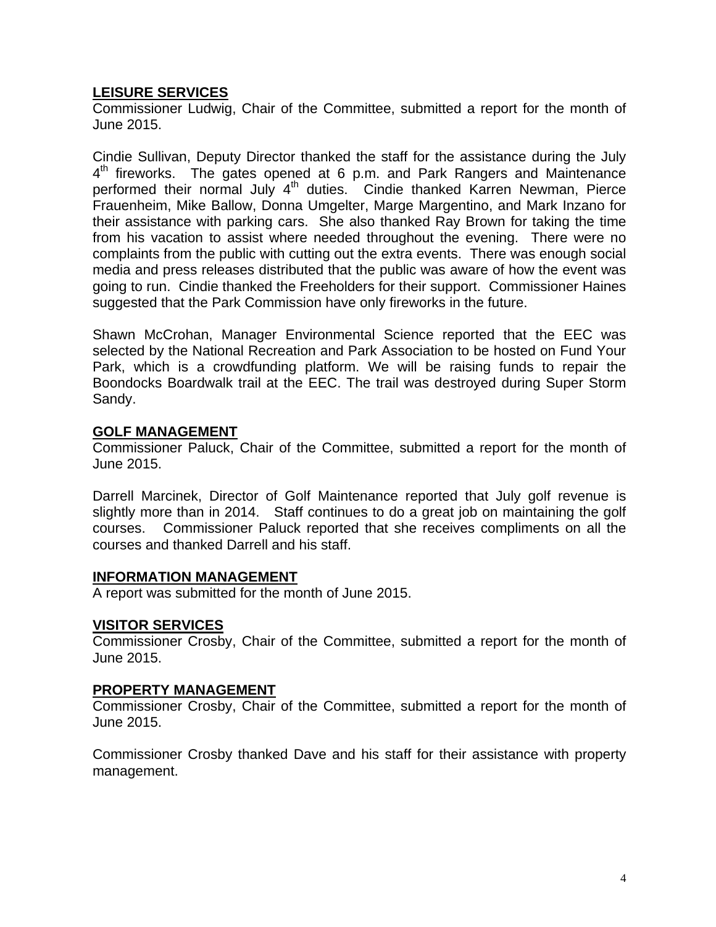# **LEISURE SERVICES**

Commissioner Ludwig, Chair of the Committee, submitted a report for the month of June 2015.

Cindie Sullivan, Deputy Director thanked the staff for the assistance during the July 4<sup>th</sup> fireworks. The gates opened at 6 p.m. and Park Rangers and Maintenance performed their normal July  $4<sup>th</sup>$  duties. Cindie thanked Karren Newman, Pierce Frauenheim, Mike Ballow, Donna Umgelter, Marge Margentino, and Mark Inzano for their assistance with parking cars. She also thanked Ray Brown for taking the time from his vacation to assist where needed throughout the evening. There were no complaints from the public with cutting out the extra events. There was enough social media and press releases distributed that the public was aware of how the event was going to run. Cindie thanked the Freeholders for their support. Commissioner Haines suggested that the Park Commission have only fireworks in the future.

Shawn McCrohan, Manager Environmental Science reported that the EEC was selected by the National Recreation and Park Association to be hosted on Fund Your Park, which is a crowdfunding platform. We will be raising funds to repair the Boondocks Boardwalk trail at the EEC. The trail was destroyed during Super Storm Sandy.

## **GOLF MANAGEMENT**

Commissioner Paluck, Chair of the Committee, submitted a report for the month of June 2015.

Darrell Marcinek, Director of Golf Maintenance reported that July golf revenue is slightly more than in 2014. Staff continues to do a great job on maintaining the golf courses. Commissioner Paluck reported that she receives compliments on all the courses and thanked Darrell and his staff.

## **INFORMATION MANAGEMENT**

A report was submitted for the month of June 2015.

## **VISITOR SERVICES**

Commissioner Crosby, Chair of the Committee, submitted a report for the month of June 2015.

## **PROPERTY MANAGEMENT**

Commissioner Crosby, Chair of the Committee, submitted a report for the month of June 2015.

Commissioner Crosby thanked Dave and his staff for their assistance with property management.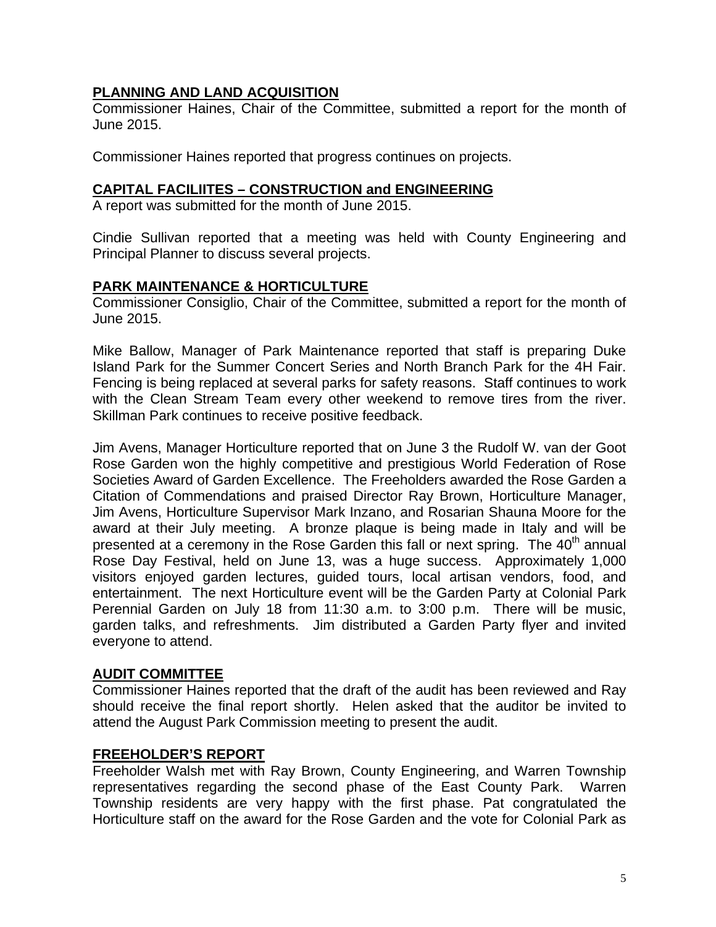# **PLANNING AND LAND ACQUISITION**

Commissioner Haines, Chair of the Committee, submitted a report for the month of June 2015.

Commissioner Haines reported that progress continues on projects.

## **CAPITAL FACILIITES – CONSTRUCTION and ENGINEERING**

A report was submitted for the month of June 2015.

Cindie Sullivan reported that a meeting was held with County Engineering and Principal Planner to discuss several projects.

## **PARK MAINTENANCE & HORTICULTURE**

Commissioner Consiglio, Chair of the Committee, submitted a report for the month of June 2015.

Mike Ballow, Manager of Park Maintenance reported that staff is preparing Duke Island Park for the Summer Concert Series and North Branch Park for the 4H Fair. Fencing is being replaced at several parks for safety reasons. Staff continues to work with the Clean Stream Team every other weekend to remove tires from the river. Skillman Park continues to receive positive feedback.

Jim Avens, Manager Horticulture reported that on June 3 the Rudolf W. van der Goot Rose Garden won the highly competitive and prestigious World Federation of Rose Societies Award of Garden Excellence. The Freeholders awarded the Rose Garden a Citation of Commendations and praised Director Ray Brown, Horticulture Manager, Jim Avens, Horticulture Supervisor Mark Inzano, and Rosarian Shauna Moore for the award at their July meeting. A bronze plaque is being made in Italy and will be presented at a ceremony in the Rose Garden this fall or next spring. The  $40<sup>th</sup>$  annual Rose Day Festival, held on June 13, was a huge success. Approximately 1,000 visitors enjoyed garden lectures, guided tours, local artisan vendors, food, and entertainment. The next Horticulture event will be the Garden Party at Colonial Park Perennial Garden on July 18 from 11:30 a.m. to 3:00 p.m. There will be music, garden talks, and refreshments. Jim distributed a Garden Party flyer and invited everyone to attend.

## **AUDIT COMMITTEE**

Commissioner Haines reported that the draft of the audit has been reviewed and Ray should receive the final report shortly. Helen asked that the auditor be invited to attend the August Park Commission meeting to present the audit.

#### **FREEHOLDER'S REPORT**

Freeholder Walsh met with Ray Brown, County Engineering, and Warren Township representatives regarding the second phase of the East County Park. Warren Township residents are very happy with the first phase. Pat congratulated the Horticulture staff on the award for the Rose Garden and the vote for Colonial Park as